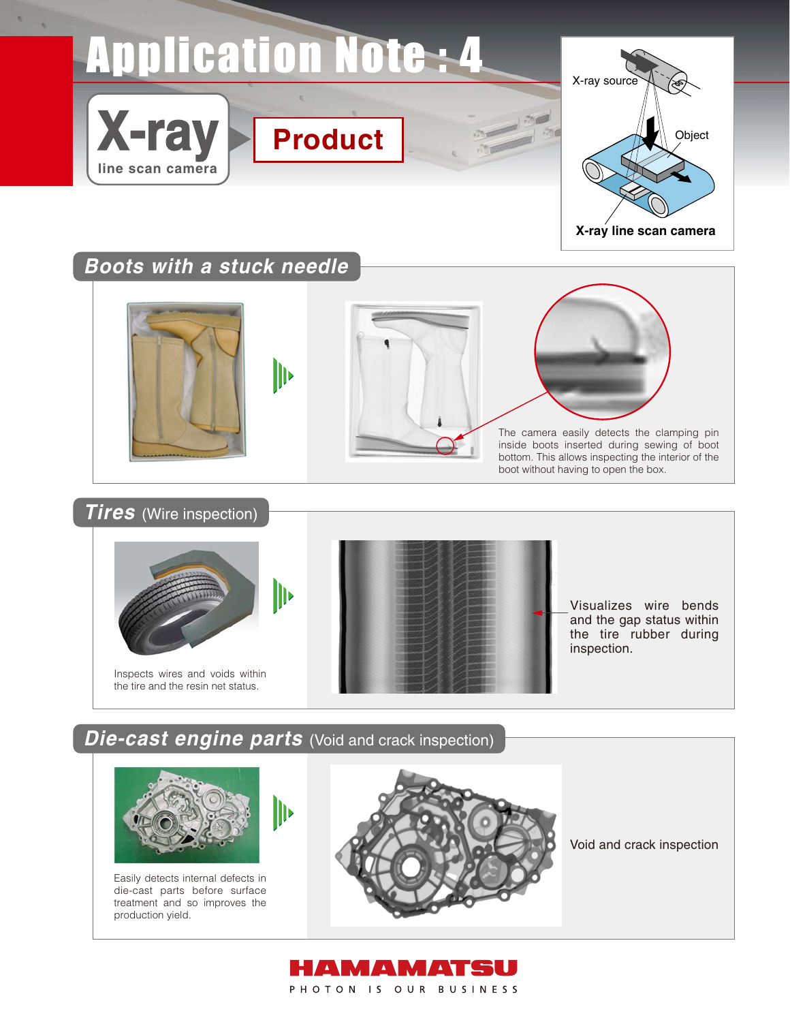# **Application Note: 4**



# **Boots with a stuck needle**

**X-ray**

**line scan camera**







The camera easily detects the clamping pin inside boots inserted during sewing of boot bottom. This allows inspecting the interior of the boot without having to open the box.

**Tires** (Wire inspection)





Visualizes wire bends and the gap status within the tire rubber during inspection.

## **Die-cast engine parts** (Void and crack inspection)